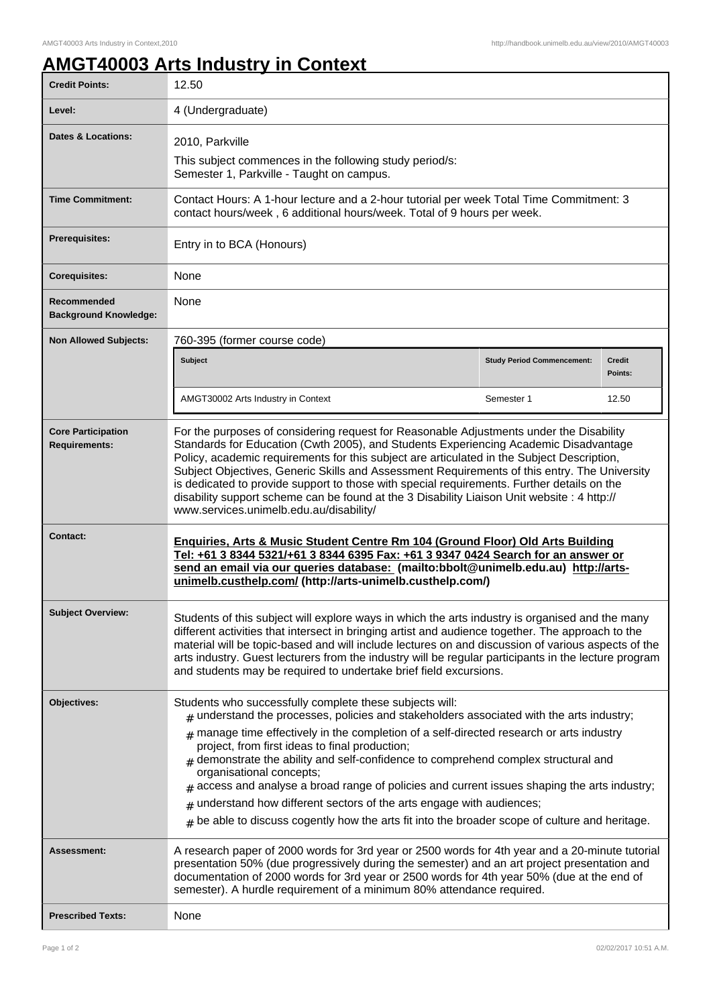ı

## **AMGT40003 Arts Industry in Context**

| <b>Credit Points:</b>                             | 12.50                                                                                                                                                                                                                                                                                                                                                                                                                                                                                                                                                                                                                                                                                                                     |                                   |                          |
|---------------------------------------------------|---------------------------------------------------------------------------------------------------------------------------------------------------------------------------------------------------------------------------------------------------------------------------------------------------------------------------------------------------------------------------------------------------------------------------------------------------------------------------------------------------------------------------------------------------------------------------------------------------------------------------------------------------------------------------------------------------------------------------|-----------------------------------|--------------------------|
| Level:                                            | 4 (Undergraduate)                                                                                                                                                                                                                                                                                                                                                                                                                                                                                                                                                                                                                                                                                                         |                                   |                          |
| Dates & Locations:                                | 2010, Parkville                                                                                                                                                                                                                                                                                                                                                                                                                                                                                                                                                                                                                                                                                                           |                                   |                          |
|                                                   | This subject commences in the following study period/s:<br>Semester 1, Parkville - Taught on campus.                                                                                                                                                                                                                                                                                                                                                                                                                                                                                                                                                                                                                      |                                   |                          |
| <b>Time Commitment:</b>                           | Contact Hours: A 1-hour lecture and a 2-hour tutorial per week Total Time Commitment: 3<br>contact hours/week, 6 additional hours/week. Total of 9 hours per week.                                                                                                                                                                                                                                                                                                                                                                                                                                                                                                                                                        |                                   |                          |
| <b>Prerequisites:</b>                             | Entry in to BCA (Honours)                                                                                                                                                                                                                                                                                                                                                                                                                                                                                                                                                                                                                                                                                                 |                                   |                          |
| <b>Corequisites:</b>                              | None                                                                                                                                                                                                                                                                                                                                                                                                                                                                                                                                                                                                                                                                                                                      |                                   |                          |
| Recommended<br><b>Background Knowledge:</b>       | None                                                                                                                                                                                                                                                                                                                                                                                                                                                                                                                                                                                                                                                                                                                      |                                   |                          |
| <b>Non Allowed Subjects:</b>                      | 760-395 (former course code)                                                                                                                                                                                                                                                                                                                                                                                                                                                                                                                                                                                                                                                                                              |                                   |                          |
|                                                   | Subject                                                                                                                                                                                                                                                                                                                                                                                                                                                                                                                                                                                                                                                                                                                   | <b>Study Period Commencement:</b> | <b>Credit</b><br>Points: |
|                                                   | AMGT30002 Arts Industry in Context                                                                                                                                                                                                                                                                                                                                                                                                                                                                                                                                                                                                                                                                                        | Semester 1                        | 12.50                    |
| <b>Core Participation</b><br><b>Requirements:</b> | For the purposes of considering request for Reasonable Adjustments under the Disability<br>Standards for Education (Cwth 2005), and Students Experiencing Academic Disadvantage<br>Policy, academic requirements for this subject are articulated in the Subject Description,<br>Subject Objectives, Generic Skills and Assessment Requirements of this entry. The University<br>is dedicated to provide support to those with special requirements. Further details on the<br>disability support scheme can be found at the 3 Disability Liaison Unit website : 4 http://<br>www.services.unimelb.edu.au/disability/                                                                                                     |                                   |                          |
| Contact:                                          | Enquiries, Arts & Music Student Centre Rm 104 (Ground Floor) Old Arts Building<br>Tel: +61 3 8344 5321/+61 3 8344 6395 Fax: +61 3 9347 0424 Search for an answer or<br>send an email via our queries database: (mailto:bbolt@unimelb.edu.au) http://arts-<br>unimelb.custhelp.com/ (http://arts-unimelb.custhelp.com/)                                                                                                                                                                                                                                                                                                                                                                                                    |                                   |                          |
| <b>Subject Overview:</b>                          | Students of this subject will explore ways in which the arts industry is organised and the many<br>different activities that intersect in bringing artist and audience together. The approach to the<br>material will be topic-based and will include lectures on and discussion of various aspects of the<br>arts industry. Guest lecturers from the industry will be regular participants in the lecture program<br>and students may be required to undertake brief field excursions.                                                                                                                                                                                                                                   |                                   |                          |
| Objectives:                                       | Students who successfully complete these subjects will:<br>$_{\#}$ understand the processes, policies and stakeholders associated with the arts industry;<br>$_{\text{\#}}$ manage time effectively in the completion of a self-directed research or arts industry<br>project, from first ideas to final production;<br>$*$ demonstrate the ability and self-confidence to comprehend complex structural and<br>organisational concepts;<br>access and analyse a broad range of policies and current issues shaping the arts industry;<br>$#$ understand how different sectors of the arts engage with audiences;<br>$_{\#}$ be able to discuss cogently how the arts fit into the broader scope of culture and heritage. |                                   |                          |
| Assessment:                                       | A research paper of 2000 words for 3rd year or 2500 words for 4th year and a 20-minute tutorial<br>presentation 50% (due progressively during the semester) and an art project presentation and<br>documentation of 2000 words for 3rd year or 2500 words for 4th year 50% (due at the end of<br>semester). A hurdle requirement of a minimum 80% attendance required.                                                                                                                                                                                                                                                                                                                                                    |                                   |                          |
| <b>Prescribed Texts:</b>                          | None                                                                                                                                                                                                                                                                                                                                                                                                                                                                                                                                                                                                                                                                                                                      |                                   |                          |